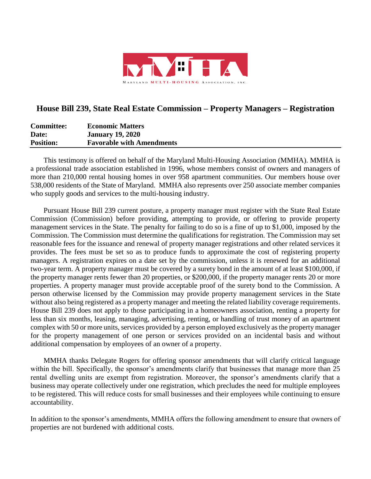

## **House Bill 239, State Real Estate Commission – Property Managers – Registration**

| <b>Committee:</b> | <b>Economic Matters</b>          |
|-------------------|----------------------------------|
| Date:             | <b>January 19, 2020</b>          |
| <b>Position:</b>  | <b>Favorable with Amendments</b> |

This testimony is offered on behalf of the Maryland Multi-Housing Association (MMHA). MMHA is a professional trade association established in 1996, whose members consist of owners and managers of more than 210,000 rental housing homes in over 958 apartment communities. Our members house over 538,000 residents of the State of Maryland. MMHA also represents over 250 associate member companies who supply goods and services to the multi-housing industry.

Pursuant House Bill 239 current posture, a property manager must register with the State Real Estate Commission (Commission) before providing, attempting to provide, or offering to provide property management services in the State. The penalty for failing to do so is a fine of up to \$1,000, imposed by the Commission. The Commission must determine the qualifications for registration. The Commission may set reasonable fees for the issuance and renewal of property manager registrations and other related services it provides. The fees must be set so as to produce funds to approximate the cost of registering property managers. A registration expires on a date set by the commission, unless it is renewed for an additional two-year term. A property manager must be covered by a surety bond in the amount of at least \$100,000, if the property manager rents fewer than 20 properties, or \$200,000, if the property manager rents 20 or more properties. A property manager must provide acceptable proof of the surety bond to the Commission. A person otherwise licensed by the Commission may provide property management services in the State without also being registered as a property manager and meeting the related liability coverage requirements. House Bill 239 does not apply to those participating in a homeowners association, renting a property for less than six months, leasing, managing, advertising, renting, or handling of trust money of an apartment complex with 50 or more units, services provided by a person employed exclusively as the property manager for the property management of one person or services provided on an incidental basis and without additional compensation by employees of an owner of a property.

MMHA thanks Delegate Rogers for offering sponsor amendments that will clarify critical language within the bill. Specifically, the sponsor's amendments clarify that businesses that manage more than 25 rental dwelling units are exempt from registration. Moreover, the sponsor's amendments clarify that a business may operate collectively under one registration, which precludes the need for multiple employees to be registered. This will reduce costs for small businesses and their employees while continuing to ensure accountability.

In addition to the sponsor's amendments, MMHA offers the following amendment to ensure that owners of properties are not burdened with additional costs.